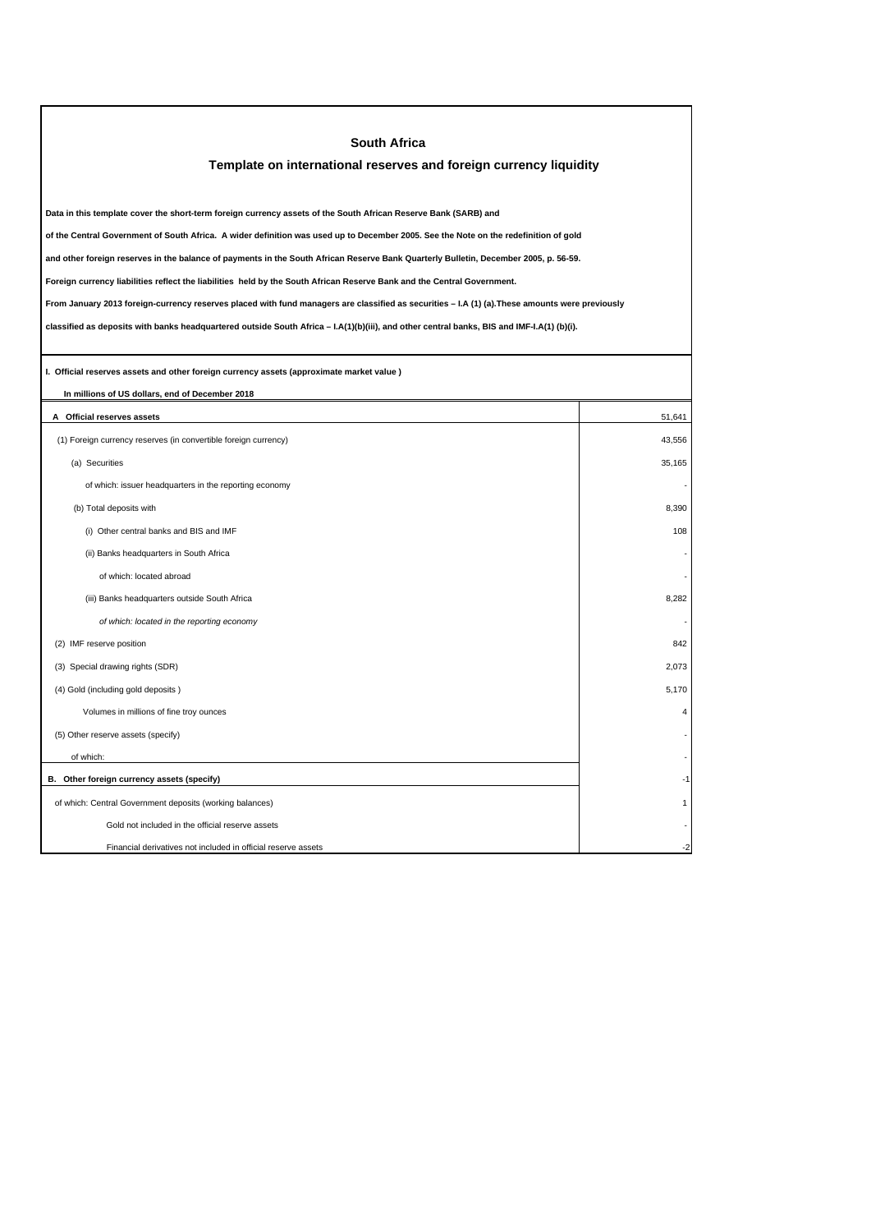| <b>South Africa</b>                                                                                                                             |                         |
|-------------------------------------------------------------------------------------------------------------------------------------------------|-------------------------|
| Template on international reserves and foreign currency liquidity                                                                               |                         |
|                                                                                                                                                 |                         |
| Data in this template cover the short-term foreign currency assets of the South African Reserve Bank (SARB) and                                 |                         |
| of the Central Government of South Africa. A wider definition was used up to December 2005. See the Note on the redefinition of gold            |                         |
| and other foreign reserves in the balance of payments in the South African Reserve Bank Quarterly Bulletin, December 2005, p. 56-59.            |                         |
| Foreign currency liabilities reflect the liabilities held by the South African Reserve Bank and the Central Government.                         |                         |
| From January 2013 foreign-currency reserves placed with fund managers are classified as securities - I.A (1) (a). These amounts were previously |                         |
| classified as deposits with banks headquartered outside South Africa - I.A(1)(b)(iii), and other central banks, BIS and IMF-I.A(1) (b)(i).      |                         |
|                                                                                                                                                 |                         |
| I. Official reserves assets and other foreign currency assets (approximate market value)                                                        |                         |
| In millions of US dollars, end of December 2018                                                                                                 |                         |
| A Official reserves assets                                                                                                                      | 51,641                  |
| (1) Foreign currency reserves (in convertible foreign currency)                                                                                 | 43,556                  |
| (a) Securities                                                                                                                                  | 35,165                  |
| of which: issuer headquarters in the reporting economy                                                                                          |                         |
| (b) Total deposits with                                                                                                                         | 8,390                   |
| (i) Other central banks and BIS and IMF                                                                                                         | 108                     |
| (ii) Banks headquarters in South Africa                                                                                                         |                         |
| of which: located abroad                                                                                                                        |                         |
| (iii) Banks headquarters outside South Africa                                                                                                   | 8,282                   |
| of which: located in the reporting economy                                                                                                      |                         |
| (2) IMF reserve position                                                                                                                        | 842                     |
| (3) Special drawing rights (SDR)                                                                                                                | 2,073                   |
| (4) Gold (including gold deposits)                                                                                                              | 5,170                   |
| Volumes in millions of fine troy ounces                                                                                                         | $\overline{\mathbf{A}}$ |
| (5) Other reserve assets (specify)                                                                                                              |                         |
| of which:                                                                                                                                       |                         |
| B. Other foreign currency assets (specify)                                                                                                      |                         |
| of which: Central Government deposits (working balances)                                                                                        |                         |
| Gold not included in the official reserve assets                                                                                                |                         |
| Financial derivatives not included in official reserve assets                                                                                   | -2                      |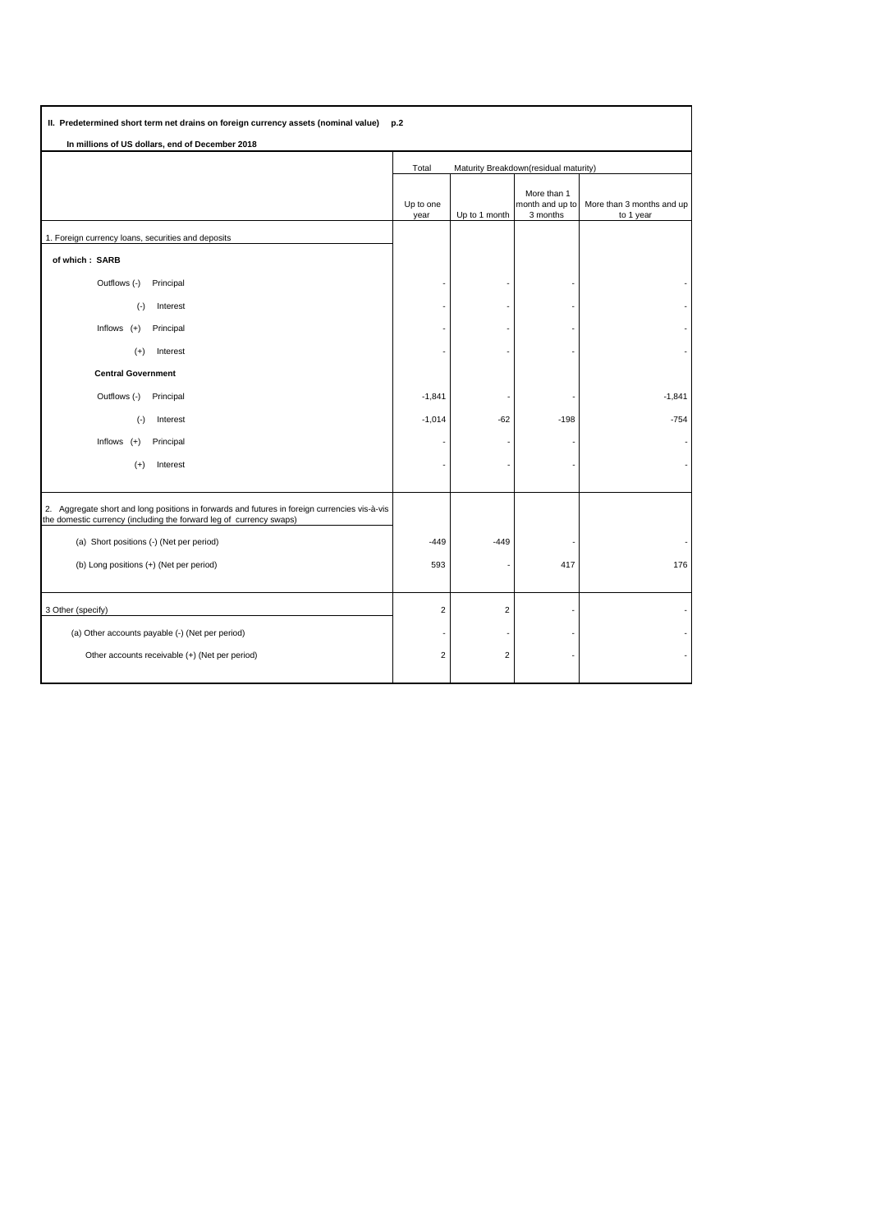| II. Predetermined short term net drains on foreign currency assets (nominal value)<br>p.2                                                                            |                                                |                |                                            |                                        |  |  |  |  |  |
|----------------------------------------------------------------------------------------------------------------------------------------------------------------------|------------------------------------------------|----------------|--------------------------------------------|----------------------------------------|--|--|--|--|--|
| In millions of US dollars, end of December 2018                                                                                                                      |                                                |                |                                            |                                        |  |  |  |  |  |
|                                                                                                                                                                      | Maturity Breakdown(residual maturity)<br>Total |                |                                            |                                        |  |  |  |  |  |
|                                                                                                                                                                      | Up to one<br>year                              | Up to 1 month  | More than 1<br>month and up to<br>3 months | More than 3 months and up<br>to 1 year |  |  |  |  |  |
| 1. Foreign currency loans, securities and deposits                                                                                                                   |                                                |                |                                            |                                        |  |  |  |  |  |
| of which: SARB                                                                                                                                                       |                                                |                |                                            |                                        |  |  |  |  |  |
| Outflows (-)<br>Principal                                                                                                                                            |                                                |                |                                            |                                        |  |  |  |  |  |
| $(\cdot)$<br>Interest                                                                                                                                                |                                                |                |                                            |                                        |  |  |  |  |  |
| Inflows $(+)$<br>Principal                                                                                                                                           |                                                |                |                                            |                                        |  |  |  |  |  |
| Interest<br>$(+)$                                                                                                                                                    |                                                |                |                                            |                                        |  |  |  |  |  |
| <b>Central Government</b>                                                                                                                                            |                                                |                |                                            |                                        |  |  |  |  |  |
| Outflows (-)<br>Principal                                                                                                                                            | $-1,841$                                       |                |                                            | $-1,841$                               |  |  |  |  |  |
| Interest<br>$(\cdot)$                                                                                                                                                | $-1,014$                                       | $-62$          | $-198$                                     | $-754$                                 |  |  |  |  |  |
| Inflows $(+)$<br>Principal                                                                                                                                           |                                                |                |                                            |                                        |  |  |  |  |  |
| $(+)$<br>Interest                                                                                                                                                    |                                                |                |                                            |                                        |  |  |  |  |  |
|                                                                                                                                                                      |                                                |                |                                            |                                        |  |  |  |  |  |
| 2. Aggregate short and long positions in forwards and futures in foreign currencies vis-à-vis<br>the domestic currency (including the forward leg of currency swaps) |                                                |                |                                            |                                        |  |  |  |  |  |
| (a) Short positions (-) (Net per period)                                                                                                                             | $-449$                                         | $-449$         |                                            |                                        |  |  |  |  |  |
| (b) Long positions (+) (Net per period)                                                                                                                              | 593                                            |                | 417                                        | 176                                    |  |  |  |  |  |
|                                                                                                                                                                      |                                                |                |                                            |                                        |  |  |  |  |  |
| 3 Other (specify)                                                                                                                                                    | $\overline{2}$                                 | $\overline{2}$ |                                            |                                        |  |  |  |  |  |
| (a) Other accounts payable (-) (Net per period)                                                                                                                      |                                                |                |                                            |                                        |  |  |  |  |  |
| Other accounts receivable (+) (Net per period)                                                                                                                       | $\overline{2}$                                 | $\overline{2}$ |                                            |                                        |  |  |  |  |  |
|                                                                                                                                                                      |                                                |                |                                            |                                        |  |  |  |  |  |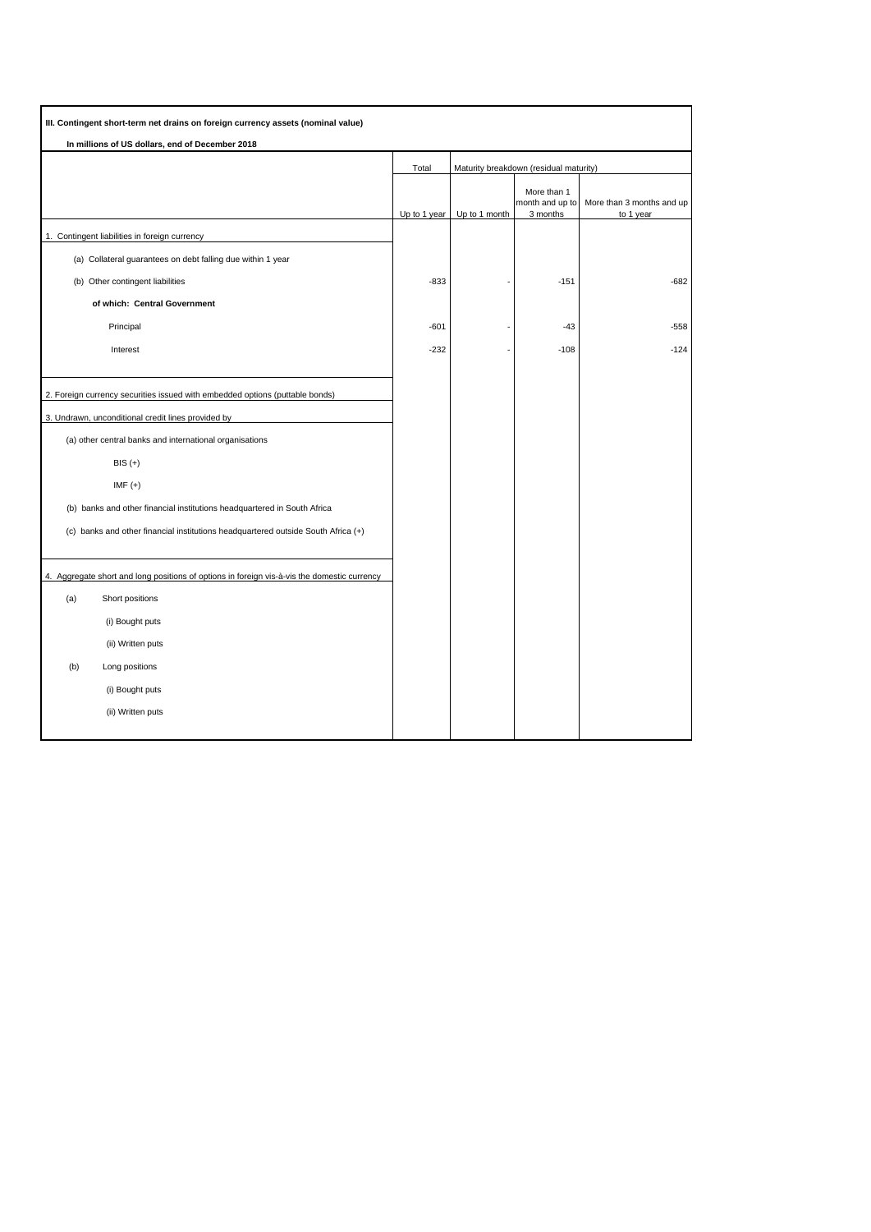| III. Contingent short-term net drains on foreign currency assets (nominal value)            |              |                                        |                                |                           |
|---------------------------------------------------------------------------------------------|--------------|----------------------------------------|--------------------------------|---------------------------|
| In millions of US dollars, end of December 2018                                             |              |                                        |                                |                           |
|                                                                                             | Total        | Maturity breakdown (residual maturity) |                                |                           |
|                                                                                             |              |                                        | More than 1<br>month and up to | More than 3 months and up |
|                                                                                             | Up to 1 year | Up to 1 month                          | 3 months                       | to 1 year                 |
| 1. Contingent liabilities in foreign currency                                               |              |                                        |                                |                           |
| (a) Collateral guarantees on debt falling due within 1 year                                 |              |                                        |                                |                           |
| (b) Other contingent liabilities                                                            | $-833$       |                                        | $-151$                         | $-682$                    |
| of which: Central Government                                                                |              |                                        |                                |                           |
| Principal                                                                                   | $-601$       |                                        | $-43$                          | $-558$                    |
| Interest                                                                                    | $-232$       |                                        | $-108$                         | $-124$                    |
|                                                                                             |              |                                        |                                |                           |
| 2. Foreign currency securities issued with embedded options (puttable bonds)                |              |                                        |                                |                           |
| 3. Undrawn, unconditional credit lines provided by                                          |              |                                        |                                |                           |
| (a) other central banks and international organisations                                     |              |                                        |                                |                           |
| $BIS (+)$                                                                                   |              |                                        |                                |                           |
| $IMF (+)$                                                                                   |              |                                        |                                |                           |
| (b) banks and other financial institutions headquartered in South Africa                    |              |                                        |                                |                           |
| (c) banks and other financial institutions headquartered outside South Africa (+)           |              |                                        |                                |                           |
|                                                                                             |              |                                        |                                |                           |
| 4. Aggregate short and long positions of options in foreign vis-à-vis the domestic currency |              |                                        |                                |                           |
| (a)<br>Short positions                                                                      |              |                                        |                                |                           |
| (i) Bought puts                                                                             |              |                                        |                                |                           |
| (ii) Written puts                                                                           |              |                                        |                                |                           |
| (b)<br>Long positions                                                                       |              |                                        |                                |                           |
| (i) Bought puts                                                                             |              |                                        |                                |                           |
| (ii) Written puts                                                                           |              |                                        |                                |                           |
|                                                                                             |              |                                        |                                |                           |